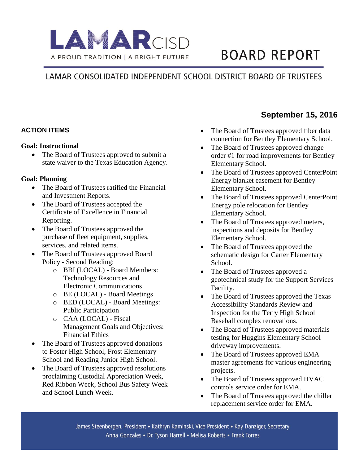

# **BOARD REPORT**

### LAMAR CONSOLIDATED INDEPENDENT SCHOOL DISTRICT BOARD OF TRUSTEES

### **ACTION ITEMS**

#### **Goal: Instructional**

• The Board of Trustees approved to submit a state waiver to the Texas Education Agency.

### **Goal: Planning**

- The Board of Trustees ratified the Financial and Investment Reports.
- The Board of Trustees accepted the Certificate of Excellence in Financial Reporting.
- The Board of Trustees approved the purchase of fleet equipment, supplies, services, and related items.
- The Board of Trustees approved Board Policy - Second Reading:
	- o BBI (LOCAL) Board Members: Technology Resources and Electronic Communications
	- o BE (LOCAL) Board Meetings
	- o BED (LOCAL) Board Meetings: Public Participation
	- o CAA (LOCAL) Fiscal Management Goals and Objectives: Financial Ethics
- The Board of Trustees approved donations to Foster High School, Frost Elementary School and Reading Junior High School.
- The Board of Trustees approved resolutions proclaiming Custodial Appreciation Week, Red Ribbon Week, School Bus Safety Week and School Lunch Week.

## **September 15, 2016**

- The Board of Trustees approved fiber data connection for Bentley Elementary School.
- The Board of Trustees approved change order #1 for road improvements for Bentley Elementary School.
- The Board of Trustees approved CenterPoint Energy blanket easement for Bentley Elementary School.
- The Board of Trustees approved CenterPoint Energy pole relocation for Bentley Elementary School.
- The Board of Trustees approved meters, inspections and deposits for Bentley Elementary School.
- The Board of Trustees approved the schematic design for Carter Elementary School.
- The Board of Trustees approved a geotechnical study for the Support Services Facility.
- The Board of Trustees approved the Texas Accessibility Standards Review and Inspection for the Terry High School Baseball complex renovations.
- The Board of Trustees approved materials testing for Huggins Elementary School driveway improvements.
- The Board of Trustees approved EMA master agreements for various engineering projects.
- The Board of Trustees approved HVAC controls service order for EMA.
- The Board of Trustees approved the chiller replacement service order for EMA.